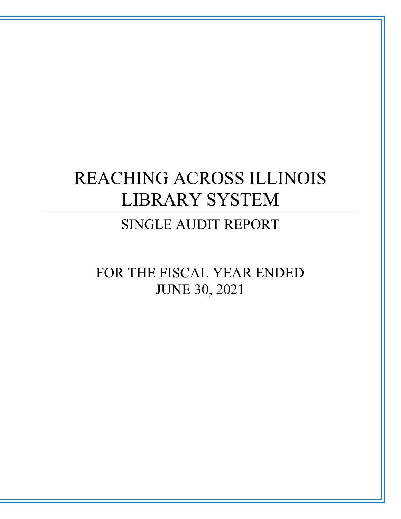# SINGLE AUDIT REPORT

FOR THE FISCAL YEAR ENDED JUNE 30, 2021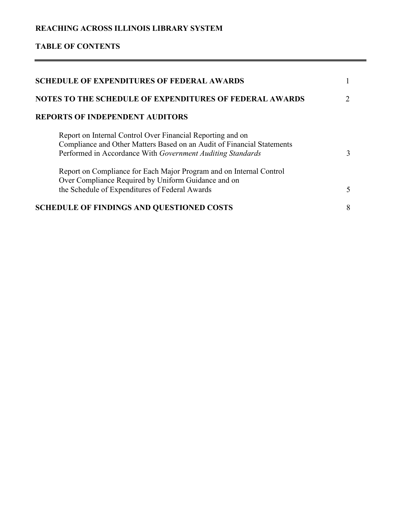# **TABLE OF CONTENTS**

| <b>SCHEDULE OF EXPENDITURES OF FEDERAL AWARDS</b>                                                                                                                                                  |   |
|----------------------------------------------------------------------------------------------------------------------------------------------------------------------------------------------------|---|
| <b>NOTES TO THE SCHEDULE OF EXPENDITURES OF FEDERAL AWARDS</b>                                                                                                                                     |   |
| <b>REPORTS OF INDEPENDENT AUDITORS</b>                                                                                                                                                             |   |
| Report on Internal Control Over Financial Reporting and on<br>Compliance and Other Matters Based on an Audit of Financial Statements<br>Performed in Accordance With Government Auditing Standards | 3 |
| Report on Compliance for Each Major Program and on Internal Control<br>Over Compliance Required by Uniform Guidance and on<br>the Schedule of Expenditures of Federal Awards                       | 5 |
| <b>SCHEDULE OF FINDINGS AND QUESTIONED COSTS</b>                                                                                                                                                   | 8 |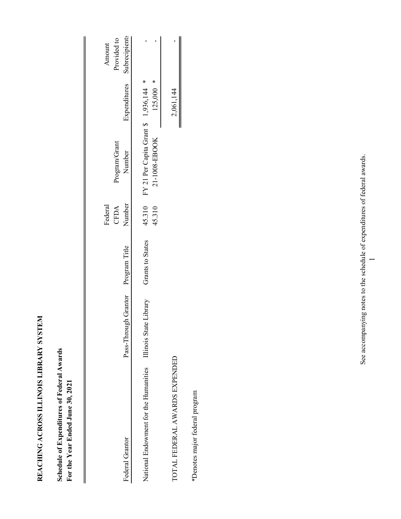| ֕       |
|---------|
|         |
|         |
|         |
| י<br>ו  |
|         |
| ļ       |
|         |
|         |
|         |
|         |
|         |
|         |
|         |
|         |
|         |
|         |
|         |
|         |
| くりく     |
|         |
|         |
|         |
|         |
|         |
|         |
|         |
|         |
|         |
|         |
|         |
| りりし くくり |
|         |
|         |
|         |
|         |
|         |
|         |
|         |
|         |
|         |
|         |
|         |
|         |
|         |
|         |
|         |
|         |
|         |

Schedule of Expenditures of Federal Awards **Schedule of Expenditures of Federal Awards** For the Year Ended June 30, 2021 **For the Year Ended June 30, 2021**

|                                       |                                    |                         | Federal<br>CFDA  | Program/Grant                                          |              | Provided to<br>Amount |
|---------------------------------------|------------------------------------|-------------------------|------------------|--------------------------------------------------------|--------------|-----------------------|
| Federal Grantor                       | Pass-Through Grantor Program Title |                         | Number           | Number                                                 | Expenditures | Subrecipients         |
| National Endowment for the Humanities | Illinois State Library             | <b>Grants to States</b> | 45.310<br>45.310 | FY 21 Per Capita Grant \$ 1,936,144 *<br>21-1008-EBOOK | $125,000$ *  |                       |
| TOTAL FEDERAL AWARDS EXPENDED         |                                    |                         |                  |                                                        | 2,061,144    |                       |
| *Denotes major federal program        |                                    |                         |                  |                                                        |              |                       |

See accompanying notes to the schedule of expenditures of federal awards. See accompanying notes to the schedule of expenditures of federal awards.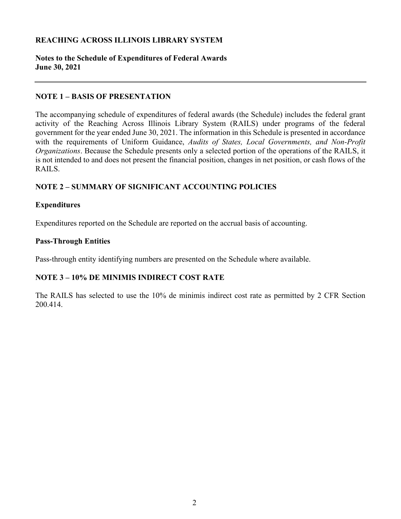#### **Notes to the Schedule of Expenditures of Federal Awards June 30, 2021**

#### **NOTE 1 – BASIS OF PRESENTATION**

The accompanying schedule of expenditures of federal awards (the Schedule) includes the federal grant activity of the Reaching Across Illinois Library System (RAILS) under programs of the federal government for the year ended June 30, 2021. The information in this Schedule is presented in accordance with the requirements of Uniform Guidance, *Audits of States, Local Governments, and Non-Profit Organizations*. Because the Schedule presents only a selected portion of the operations of the RAILS, it is not intended to and does not present the financial position, changes in net position, or cash flows of the RAILS.

# **NOTE 2 – SUMMARY OF SIGNIFICANT ACCOUNTING POLICIES**

#### **Expenditures**

Expenditures reported on the Schedule are reported on the accrual basis of accounting.

#### **Pass-Through Entities**

Pass-through entity identifying numbers are presented on the Schedule where available.

# **NOTE 3 – 10% DE MINIMIS INDIRECT COST RATE**

The RAILS has selected to use the 10% de minimis indirect cost rate as permitted by 2 CFR Section 200.414.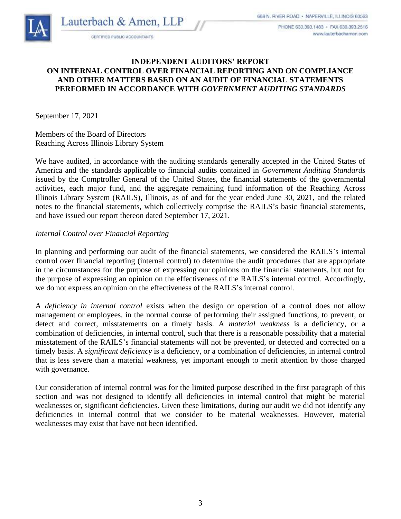PHONE 630 393 1483 · FAX 630 393 2516 www.lauterbachamen.com



#### **INDEPENDENT AUDITORS' REPORT ON INTERNAL CONTROL OVER FINANCIAL REPORTING AND ON COMPLIANCE AND OTHER MATTERS BASED ON AN AUDIT OF FINANCIAL STATEMENTS PERFORMED IN ACCORDANCE WITH** *GOVERNMENT AUDITING STANDARDS*

September 17, 2021

Members of the Board of Directors Reaching Across Illinois Library System

We have audited, in accordance with the auditing standards generally accepted in the United States of America and the standards applicable to financial audits contained in *Government Auditing Standards* issued by the Comptroller General of the United States, the financial statements of the governmental activities, each major fund, and the aggregate remaining fund information of the Reaching Across Illinois Library System (RAILS), Illinois, as of and for the year ended June 30, 2021, and the related notes to the financial statements, which collectively comprise the RAILS's basic financial statements, and have issued our report thereon dated September 17, 2021.

#### *Internal Control over Financial Reporting*

In planning and performing our audit of the financial statements, we considered the RAILS's internal control over financial reporting (internal control) to determine the audit procedures that are appropriate in the circumstances for the purpose of expressing our opinions on the financial statements, but not for the purpose of expressing an opinion on the effectiveness of the RAILS's internal control. Accordingly, we do not express an opinion on the effectiveness of the RAILS's internal control.

A *deficiency in internal control* exists when the design or operation of a control does not allow management or employees, in the normal course of performing their assigned functions, to prevent, or detect and correct, misstatements on a timely basis. A *material weakness* is a deficiency, or a combination of deficiencies, in internal control, such that there is a reasonable possibility that a material misstatement of the RAILS's financial statements will not be prevented, or detected and corrected on a timely basis. A *significant deficiency* is a deficiency, or a combination of deficiencies, in internal control that is less severe than a material weakness, yet important enough to merit attention by those charged with governance.

Our consideration of internal control was for the limited purpose described in the first paragraph of this section and was not designed to identify all deficiencies in internal control that might be material weaknesses or, significant deficiencies. Given these limitations, during our audit we did not identify any deficiencies in internal control that we consider to be material weaknesses. However, material weaknesses may exist that have not been identified.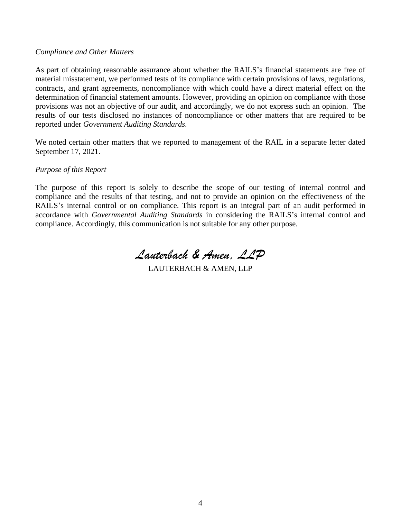#### *Compliance and Other Matters*

As part of obtaining reasonable assurance about whether the RAILS's financial statements are free of material misstatement, we performed tests of its compliance with certain provisions of laws, regulations, contracts, and grant agreements, noncompliance with which could have a direct material effect on the determination of financial statement amounts. However, providing an opinion on compliance with those provisions was not an objective of our audit, and accordingly, we do not express such an opinion. The results of our tests disclosed no instances of noncompliance or other matters that are required to be reported under *Government Auditing Standards.*

We noted certain other matters that we reported to management of the RAIL in a separate letter dated September 17, 2021.

#### *Purpose of this Report*

The purpose of this report is solely to describe the scope of our testing of internal control and compliance and the results of that testing, and not to provide an opinion on the effectiveness of the RAILS's internal control or on compliance. This report is an integral part of an audit performed in accordance with *Governmental Auditing Standards* in considering the RAILS's internal control and compliance. Accordingly, this communication is not suitable for any other purpose.

*Lauterbach & Amen, LLP*

LAUTERBACH & AMEN, LLP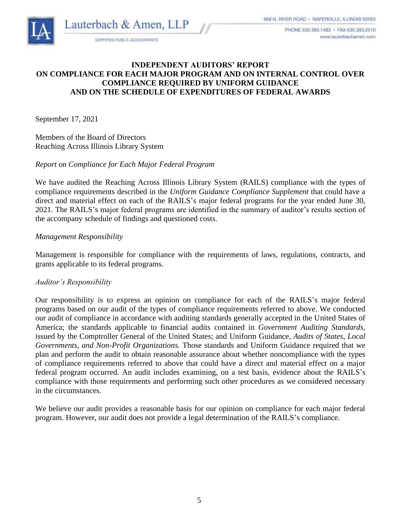Lauterbach & Amen, LLP



CERTIFIED PUBLIC ACCOUNTANTS

#### **INDEPENDENT AUDITORS' REPORT ON COMPLIANCE FOR EACH MAJOR PROGRAM AND ON INTERNAL CONTROL OVER COMPLIANCE REQUIRED BY UNIFORM GUIDANCE AND ON THE SCHEDULE OF EXPENDITURES OF FEDERAL AWARDS**

September 17, 2021

Members of the Board of Directors Reaching Across Illinois Library System

#### *Report on Compliance for Each Major Federal Program*

We have audited the Reaching Across Illinois Library System (RAILS) compliance with the types of compliance requirements described in the *Uniform Guidance Compliance Supplement* that could have a direct and material effect on each of the RAILS's major federal programs for the year ended June 30, 2021. The RAILS's major federal programs are identified in the summary of auditor's results section of the accompany schedule of findings and questioned costs.

#### *Management Responsibility*

Management is responsible for compliance with the requirements of laws, regulations, contracts, and grants applicable to its federal programs.

#### *Auditor's Responsibility*

Our responsibility is to express an opinion on compliance for each of the RAILS's major federal programs based on our audit of the types of compliance requirements referred to above. We conducted our audit of compliance in accordance with auditing standards generally accepted in the United States of America; the standards applicable to financial audits contained in *Government Auditing Standards*, issued by the Comptroller General of the United States; and Uniform Guidance, *Audits of States, Local Governments, and Non-Profit Organizations*. Those standards and Uniform Guidance required that we plan and perform the audit to obtain reasonable assurance about whether noncompliance with the types of compliance requirements referred to above that could have a direct and material effect on a major federal program occurred. An audit includes examining, on a test basis, evidence about the RAILS's compliance with those requirements and performing such other procedures as we considered necessary in the circumstances.

We believe our audit provides a reasonable basis for our opinion on compliance for each major federal program. However, our audit does not provide a legal determination of the RAILS's compliance.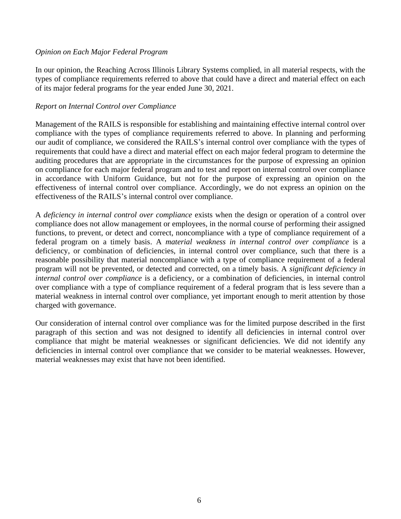#### *Opinion on Each Major Federal Program*

In our opinion, the Reaching Across Illinois Library Systems complied, in all material respects, with the types of compliance requirements referred to above that could have a direct and material effect on each of its major federal programs for the year ended June 30, 2021.

#### *Report on Internal Control over Compliance*

Management of the RAILS is responsible for establishing and maintaining effective internal control over compliance with the types of compliance requirements referred to above. In planning and performing our audit of compliance, we considered the RAILS's internal control over compliance with the types of requirements that could have a direct and material effect on each major federal program to determine the auditing procedures that are appropriate in the circumstances for the purpose of expressing an opinion on compliance for each major federal program and to test and report on internal control over compliance in accordance with Uniform Guidance, but not for the purpose of expressing an opinion on the effectiveness of internal control over compliance. Accordingly, we do not express an opinion on the effectiveness of the RAILS's internal control over compliance.

A *deficiency in internal control over compliance* exists when the design or operation of a control over compliance does not allow management or employees, in the normal course of performing their assigned functions, to prevent, or detect and correct, noncompliance with a type of compliance requirement of a federal program on a timely basis. A *material weakness in internal control over compliance* is a deficiency, or combination of deficiencies, in internal control over compliance, such that there is a reasonable possibility that material noncompliance with a type of compliance requirement of a federal program will not be prevented, or detected and corrected, on a timely basis. A *significant deficiency in internal control over compliance* is a deficiency, or a combination of deficiencies, in internal control over compliance with a type of compliance requirement of a federal program that is less severe than a material weakness in internal control over compliance, yet important enough to merit attention by those charged with governance.

Our consideration of internal control over compliance was for the limited purpose described in the first paragraph of this section and was not designed to identify all deficiencies in internal control over compliance that might be material weaknesses or significant deficiencies. We did not identify any deficiencies in internal control over compliance that we consider to be material weaknesses. However, material weaknesses may exist that have not been identified.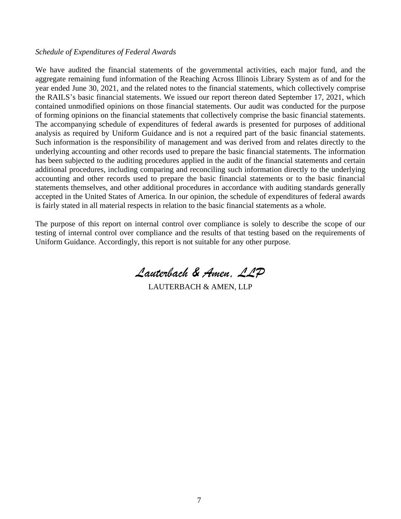#### *Schedule of Expenditures of Federal Awards*

We have audited the financial statements of the governmental activities, each major fund, and the aggregate remaining fund information of the Reaching Across Illinois Library System as of and for the year ended June 30, 2021, and the related notes to the financial statements, which collectively comprise the RAILS's basic financial statements. We issued our report thereon dated September 17, 2021, which contained unmodified opinions on those financial statements. Our audit was conducted for the purpose of forming opinions on the financial statements that collectively comprise the basic financial statements. The accompanying schedule of expenditures of federal awards is presented for purposes of additional analysis as required by Uniform Guidance and is not a required part of the basic financial statements. Such information is the responsibility of management and was derived from and relates directly to the underlying accounting and other records used to prepare the basic financial statements. The information has been subjected to the auditing procedures applied in the audit of the financial statements and certain additional procedures, including comparing and reconciling such information directly to the underlying accounting and other records used to prepare the basic financial statements or to the basic financial statements themselves, and other additional procedures in accordance with auditing standards generally accepted in the United States of America. In our opinion, the schedule of expenditures of federal awards is fairly stated in all material respects in relation to the basic financial statements as a whole.

The purpose of this report on internal control over compliance is solely to describe the scope of our testing of internal control over compliance and the results of that testing based on the requirements of Uniform Guidance. Accordingly, this report is not suitable for any other purpose.

*Lauterbach & Amen, LLP*

LAUTERBACH & AMEN, LLP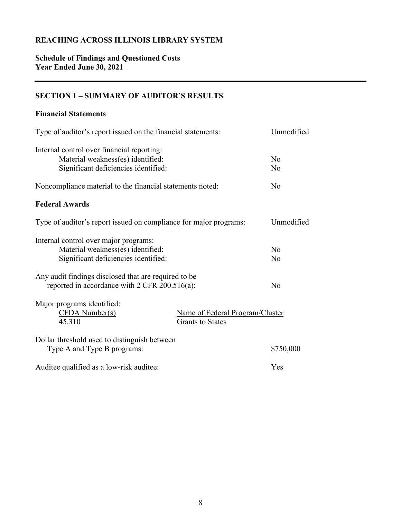# **Schedule of Findings and Questioned Costs Year Ended June 30, 2021**

# **SECTION 1 – SUMMARY OF AUDITOR'S RESULTS**

#### **Financial Statements**

| Type of auditor's report issued on the financial statements:                                                            |                                                            | Unmodified                       |
|-------------------------------------------------------------------------------------------------------------------------|------------------------------------------------------------|----------------------------------|
| Internal control over financial reporting:<br>Material weakness(es) identified:<br>Significant deficiencies identified: |                                                            | N <sub>o</sub><br>N <sub>o</sub> |
| Noncompliance material to the financial statements noted:                                                               |                                                            | N <sub>o</sub>                   |
| <b>Federal Awards</b>                                                                                                   |                                                            |                                  |
| Type of auditor's report issued on compliance for major programs:                                                       |                                                            | Unmodified                       |
| Internal control over major programs:<br>Material weakness(es) identified:<br>Significant deficiencies identified:      |                                                            | N <sub>o</sub><br>N <sub>o</sub> |
| Any audit findings disclosed that are required to be<br>reported in accordance with 2 CFR 200.516(a):                   |                                                            |                                  |
| Major programs identified:<br>CFDA Number(s)<br>45.310                                                                  | Name of Federal Program/Cluster<br><b>Grants to States</b> |                                  |
| Dollar threshold used to distinguish between<br>Type A and Type B programs:                                             |                                                            | \$750,000                        |
| Auditee qualified as a low-risk auditee:                                                                                |                                                            | Yes                              |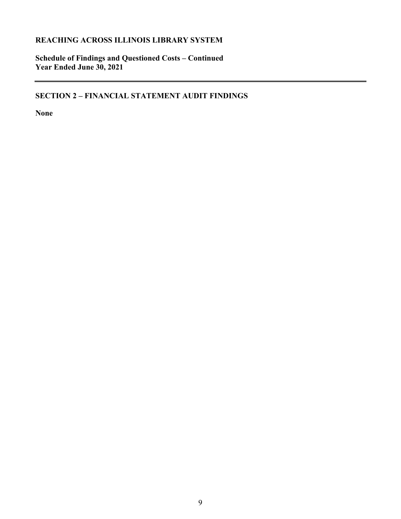**Schedule of Findings and Questioned Costs – Continued Year Ended June 30, 2021**

**SECTION 2 – FINANCIAL STATEMENT AUDIT FINDINGS**

**None**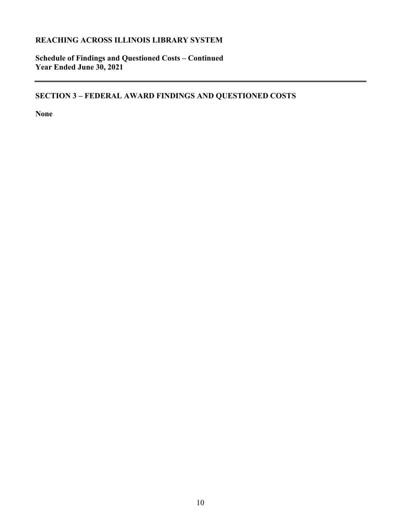**Schedule of Findings and Questioned Costs – Continued Year Ended June 30, 2021**

**SECTION 3 – FEDERAL AWARD FINDINGS AND QUESTIONED COSTS**

**None**